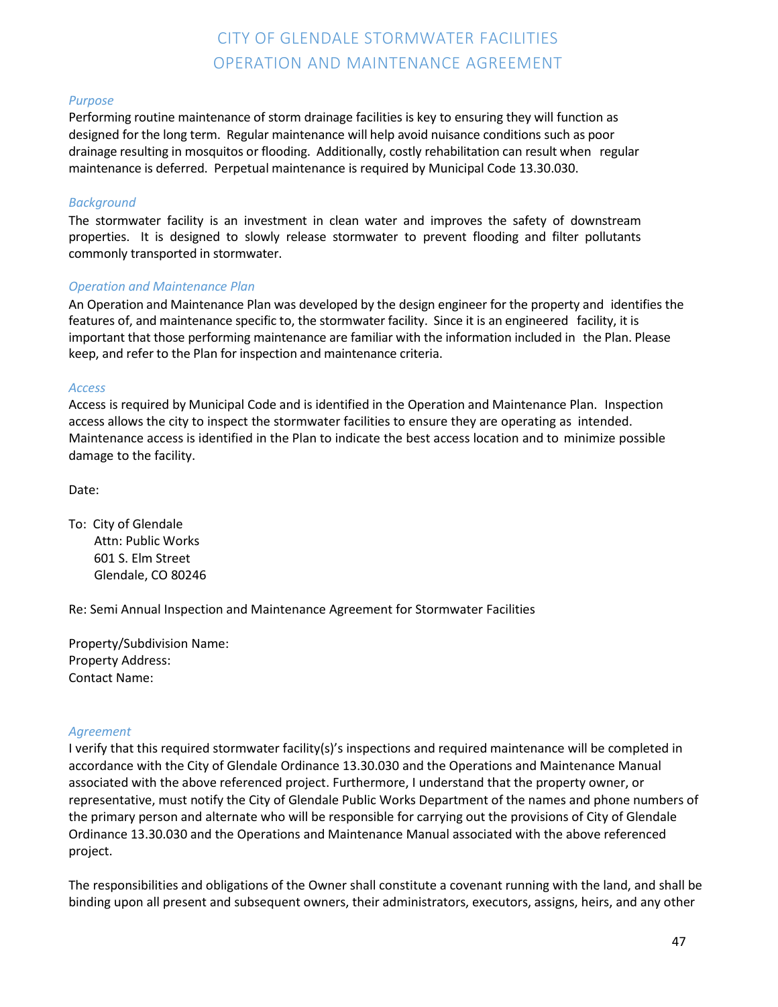## CITY OF GLENDALE STORMWATER FACILITIES OPERATION AND MAINTENANCE AGREEMENT

### *Purpose*

Performing routine maintenance of storm drainage facilities is key to ensuring they will function as designed for the long term. Regular maintenance will help avoid nuisance conditions such as poor drainage resulting in mosquitos or flooding. Additionally, costly rehabilitation can result when regular maintenance is deferred. Perpetual maintenance is required by Municipal Code 13.30.030.

#### *Background*

The stormwater facility is an investment in clean water and improves the safety of downstream properties. It is designed to slowly release stormwater to prevent flooding and filter pollutants commonly transported in stormwater.

#### *Operation and Maintenance Plan*

An Operation and Maintenance Plan was developed by the design engineer for the property and identifies the features of, and maintenance specific to, the stormwater facility. Since it is an engineered facility, it is important that those performing maintenance are familiar with the information included in the Plan. Please keep, and refer to the Plan for inspection and maintenance criteria.

#### *Access*

Access is required by Municipal Code and is identified in the Operation and Maintenance Plan. Inspection access allows the city to inspect the stormwater facilities to ensure they are operating as intended. Maintenance access is identified in the Plan to indicate the best access location and to minimize possible damage to the facility.

Date:

To: City of Glendale Attn: Public Works 601 S. Elm Street Glendale, CO 80246

Re: Semi Annual Inspection and Maintenance Agreement for Stormwater Facilities

Property/Subdivision Name: Property Address: Contact Name:

#### *Agreement*

I verify that this required stormwater facility(s)'s inspections and required maintenance will be completed in accordance with the City of Glendale Ordinance 13.30.030 and the Operations and Maintenance Manual associated with the above referenced project. Furthermore, I understand that the property owner, or representative, must notify the City of Glendale Public Works Department of the names and phone numbers of the primary person and alternate who will be responsible for carrying out the provisions of City of Glendale Ordinance 13.30.030 and the Operations and Maintenance Manual associated with the above referenced project.

The responsibilities and obligations of the Owner shall constitute a covenant running with the land, and shall be binding upon all present and subsequent owners, their administrators, executors, assigns, heirs, and any other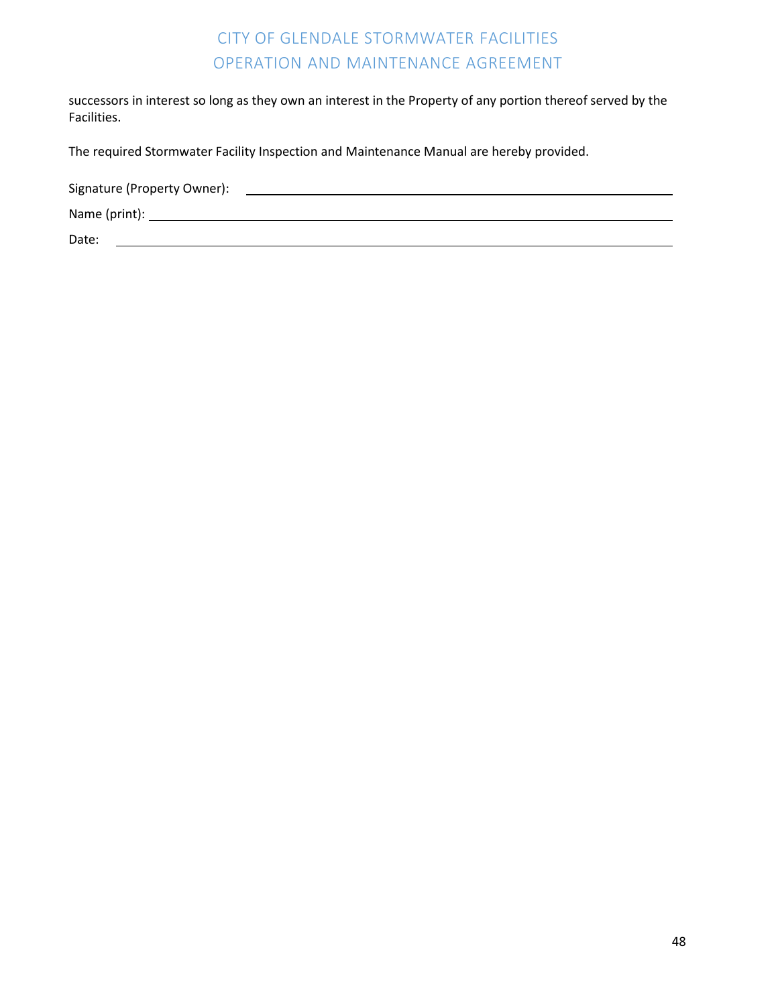### CITY OF GLENDALE STORMWATER FACILITIES OPERATION AND MAINTENANCE AGREEMENT

successors in interest so long as they own an interest in the Property of any portion thereof served by the Facilities.

The required Stormwater Facility Inspection and Maintenance Manual are hereby provided.

Signature (Property Owner):

Name (print):

Date: